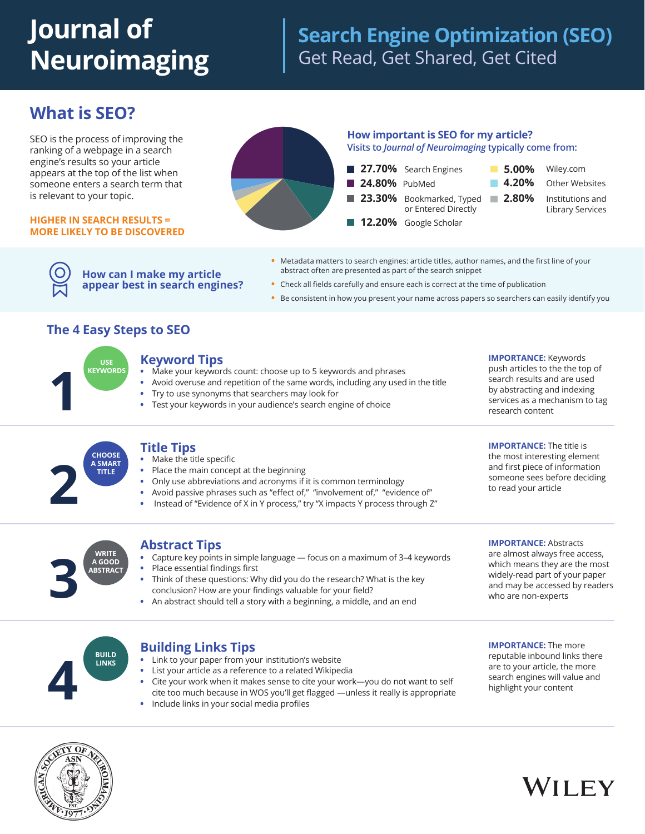# **Journal of Neuroimaging**

# **Search Engine Optimization (SEO)** Get Read, Get Shared, Get Cited

# **What is SEO?**

SEO is the process of improving the ranking of a webpage in a search engine's results so your article appears at the top of the list when someone enters a search term that is relevant to your topic.

#### **HIGHER IN SEARCH RESULTS = MORE LIKELY TO BE DISCOVERED**



- **•** Metadata matters to search engines: article titles, author names, and the first line of your abstract often are presented as part of the search snippet
- **•** Check all fields carefully and ensure each is correct at the time of publication
- **•** Be consistent in how you present your name across papers so searchers can easily identify you

### **The 4 Easy Steps to SEO**

**How can I make my article appear best in search engines?**

**USE KEYWORDS**

#### **Keyword Tips**

- **•** Make your keywords count: choose up to 5 keywords and phrases
- **•** Avoid overuse and repetition of the same words, including any used in the title
- 
- **•** Try to use synonyms that searchers may look for **1 •** Test your keywords in your audience's search engine of choice

**IMPORTANCE:** Keywords push articles to the the top of search results and are used by abstracting and indexing services as a mechanism to tag research content

**CHOOSE A SMART TITLE**

#### **Title Tips**

- Make the title specific
- **•** Place the main concept at the beginning
- **•** Only use abbreviations and acronyms if it is common terminology
- 
- **•** Avoid passive phrases such as "effect of," "involvement of," "evidence of" **2 •** Instead of "Evidence of X in Y process," try "X impacts Y process through Z"

**WRITE A GOOD BSTRACT** 

### **Abstract Tips**

- **•** Capture key points in simple language focus on a maximum of 3–4 keywords
- **•** Place essential findings first
- **•** Think of these questions: Why did you do the research? What is the key **EXECUTE:** A GOOD<br> **3 •** Place essential findings first<br> **3** Think of these questions: Why did you do the research? What is the k<br>
conclusion? How are your findings valuable for your field?<br> **3** An abstract should tell a
	-



### **Building Links Tips**

- **•** Link to your paper from your institution's website
- **•** List your article as a reference to a related Wikipedia
- **•** Cite your work when it makes sense to cite your work—you do not want to self cite too much because in WOS you'll get flagged —unless it really is appropriate **4 •** Include links in your social media profiles
- 

**IMPORTANCE:** The more reputable inbound links there are to your article, the more search engines will value and highlight your content

**IMPORTANCE:** Abstracts are almost always free access, which means they are the most widely-read part of your paper and may be accessed by readers

**IMPORTANCE:** The title is the most interesting element and first piece of information someone sees before deciding

to read your article

who are non-experts